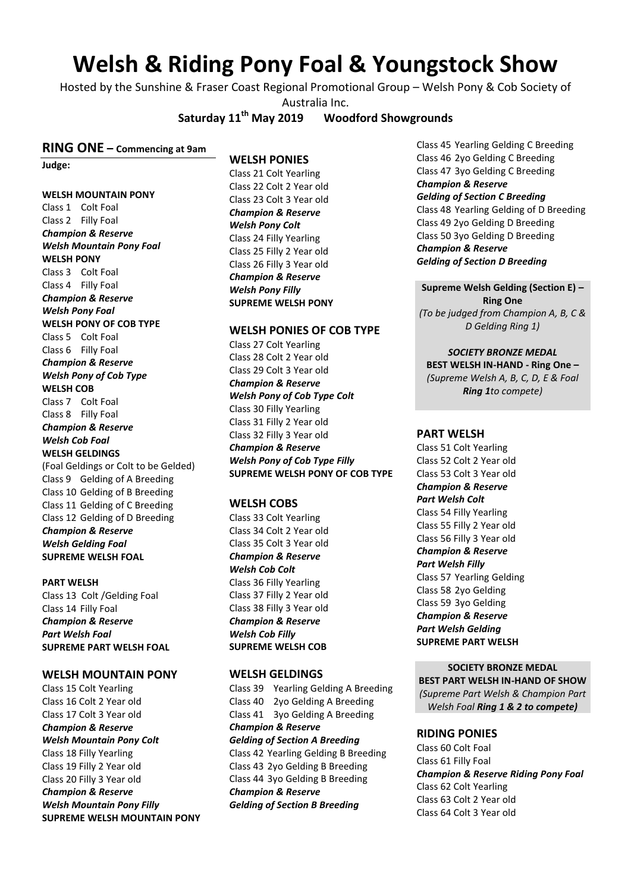# **Welsh & Riding Pony Foal & Youngstock Show**

Hosted by the Sunshine & Fraser Coast Regional Promotional Group – Welsh Pony & Cob Society of Australia Inc.

**Saturday 11th May 2019 Woodford Showgrounds**

#### **RING ONE – Commencing at 9am**

**Judge:** 

#### **WELSH MOUNTAIN PONY**

Class 1 Colt Foal Class 2 Filly Foal *Champion & Reserve Welsh Mountain Pony Foal* **WELSH PONY** Class 3 Colt Foal Class 4 Filly Foal *Champion & Reserve Welsh Pony Foal* **WELSH PONY OF COB TYPE** Class 5 Colt Foal Class 6 Filly Foal *Champion & Reserve Welsh Pony of Cob Type* **WELSH COB** Class 7 Colt Foal Class 8 Filly Foal *Champion & Reserve Welsh Cob Foal* **WELSH GELDINGS** (Foal Geldings or Colt to be Gelded) Class 9 Gelding of A Breeding Class 10 Gelding of B Breeding Class 11 Gelding of C Breeding Class 12 Gelding of D Breeding *Champion & Reserve Welsh Gelding Foal* **SUPREME WELSH FOAL**

#### **PART WELSH**

Class 13 Colt /Gelding Foal Class 14 Filly Foal *Champion & Reserve Part Welsh Foal* **SUPREME PART WELSH FOAL**

#### **WELSH MOUNTAIN PONY**

Class 15 Colt Yearling Class 16 Colt 2 Year old Class 17 Colt 3 Year old *Champion & Reserve Welsh Mountain Pony Colt* Class 18 Filly Yearling Class 19 Filly 2 Year old Class 20 Filly 3 Year old *Champion & Reserve Welsh Mountain Pony Filly* **SUPREME WELSH MOUNTAIN PONY**

#### **WELSH PONIES**

Class 21 Colt Yearling Class 22 Colt 2 Year old Class 23 Colt 3 Year old *Champion & Reserve Welsh Pony Colt* Class 24 Filly Yearling Class 25 Filly 2 Year old Class 26 Filly 3 Year old *Champion & Reserve Welsh Pony Filly*  **SUPREME WELSH PONY**

#### **WELSH PONIES OF COB TYPE**

Class 27 Colt Yearling Class 28 Colt 2 Year old Class 29 Colt 3 Year old *Champion & Reserve Welsh Pony of Cob Type Colt*  Class 30 Filly Yearling Class 31 Filly 2 Year old Class 32 Filly 3 Year old *Champion & Reserve Welsh Pony of Cob Type Filly*  **SUPREME WELSH PONY OF COB TYPE**

## **WELSH COBS**

Class 33 Colt Yearling Class 34 Colt 2 Year old Class 35 Colt 3 Year old *Champion & Reserve Welsh Cob Colt* Class 36 Filly Yearling Class 37 Filly 2 Year old Class 38 Filly 3 Year old *Champion & Reserve Welsh Cob Filly*  **SUPREME WELSH COB**

#### **WELSH GELDINGS**

Class 39 Yearling Gelding A Breeding Class 40 2yo Gelding A Breeding Class 41 3yo Gelding A Breeding *Champion & Reserve Gelding of Section A Breeding*  Class 42 Yearling Gelding B Breeding Class 43 2yo Gelding B Breeding Class 44 3yo Gelding B Breeding *Champion & Reserve Gelding of Section B Breeding* 

Class 45 Yearling Gelding C Breeding Class 46 2yo Gelding C Breeding Class 47 3yo Gelding C Breeding *Champion & Reserve Gelding of Section C Breeding*  Class 48 Yearling Gelding of D Breeding Class 49 2yo Gelding D Breeding Class 50 3yo Gelding D Breeding *Champion & Reserve Gelding of Section D Breeding*

**Supreme Welsh Gelding (Section E) – Ring One** *(To be judged from Champion A, B, C & D Gelding Ring 1)*

*SOCIETY BRONZE MEDAL* **BEST WELSH IN-HAND - Ring One –** *(Supreme Welsh A, B, C, D, E & Foal Ring 1to compete)*

#### **PART WELSH**

Class 51 Colt Yearling Class 52 Colt 2 Year old Class 53 Colt 3 Year old *Champion & Reserve Part Welsh Colt*  Class 54 Filly Yearling Class 55 Filly 2 Year old Class 56 Filly 3 Year old *Champion & Reserve Part Welsh Filly*  Class 57 Yearling Gelding Class 58 2yo Gelding Class 59 3yo Gelding *Champion & Reserve Part Welsh Gelding*  **SUPREME PART WELSH**

## **SOCIETY BRONZE MEDAL**

**BEST PART WELSH IN-HAND OF SHOW** *(Supreme Part Welsh & Champion Part Welsh Foal Ring 1 & 2 to compete)*

#### **RIDING PONIES**

Class 60 Colt Foal Class 61 Filly Foal *Champion & Reserve Riding Pony Foal* Class 62 Colt Yearling Class 63 Colt 2 Year old Class 64 Colt 3 Year old